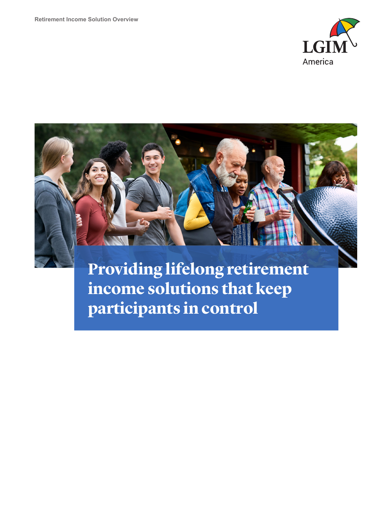



**Providing lifelong retirement income solutions that keep participants in control**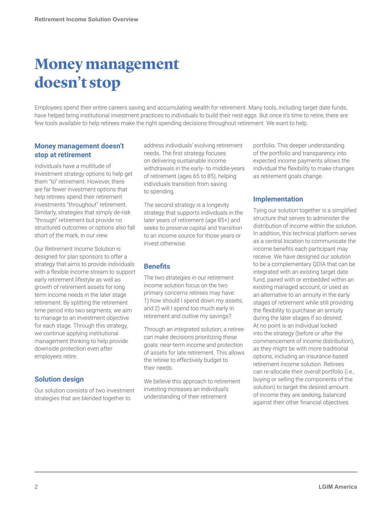# **Money management doesn't stop**

Employees spend their entire careers saving and accumulating wealth for retirement. Many tools, including target date funds, have helped bring institutional investment practices to individuals to build their nest eggs. But once it's time to retire, there are few tools available to help retirees make the right spending decisions throughout retirement. We want to help.

### **Money management doesn't stop at retirement**

Individuals have a multitude of investment strategy options to help get them "to" retirement. However, there are far fewer investment options that help retirees spend their retirement investments "throughout" retirement. Similarly, strategies that simply de-risk "through" retirement but provide no structured outcomes or options also fall short of the mark, in our view.

Our Retirement Income Solution is designed for plan sponsors to offer a strategy that aims to provide individuals with a flexible income stream to support early retirement lifestyle as well as growth of retirement assets for long term income needs in the later stage retirement. By splitting the retirement time period into two segments, we aim to manage to an investment objective for each stage. Through this strategy, we continue applying institutional management thinking to help provide downside protection even after employees retire.

## **Solution design**

Our solution consists of two investment strategies that are blended together to

address individuals' evolving retirement needs. The first strategy focuses on delivering sustainable income withdrawals in the early- to middle-years of retirement (ages 65 to 85), helping individuals transition from saving to spending.

The second strategy is a longevity strategy that supports individuals in the later years of retirement (age 85+) and seeks to preserve capital and transition to an income source for those years or invest otherwise.

## **Benefits**

The two strategies in our retirement income solution focus on the two primary concerns retirees may have: 1) how should I spend down my assets, and 2) will I spend too much early in retirement and outlive my savings?

Through an integrated solution, a retiree can make decisions prioritizing these goals: near-term income and protection of assets for late retirement. This allows the retiree to effectively budget to their needs.

We believe this approach to retirement investing increases an individual's understanding of their retirement

portfolio. This deeper understanding of the portfolio and transparency into expected income payments allows the individual the flexibility to make changes as retirement goals change.

## **Implementation**

Tying our solution together is a simplified structure that serves to administer the distribution of income within the solution. In addition, this technical platform serves as a central location to communicate the income benefits each participant may receive. We have designed our solution to be a complementary QDIA that can be integrated with an existing target date fund, paired with or embedded within an existing managed account, or used as an alternative to an annuity in the early stages of retirement while still providing the flexibility to purchase an annuity during the later stages if so desired. At no point is an individual locked into the strategy (before or after the commencement of income distribution), as they might be with more traditional options, including an insurance-based retirement income solution. Retirees can re-allocate their overall portfolio (i.e., buying or selling the components of the solution) to target the desired amount of income they are seeking, balanced against their other financial objectives.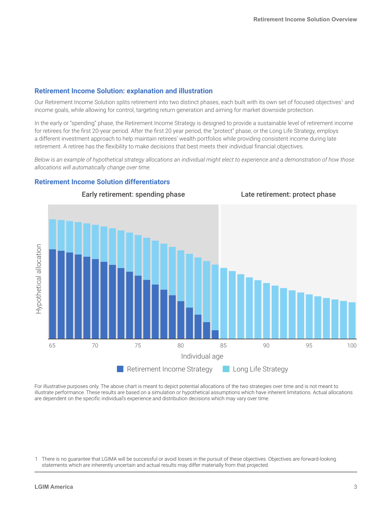## **Retirement Income Solution: explanation and illustration**

Our Retirement Income Solution splits retirement into two distinct phases, each built with its own set of focused objectives<sup>1</sup> and income goals, while allowing for control, targeting return generation and aiming for market downside protection.

In the early or "spending" phase, the Retirement Income Strategy is designed to provide a sustainable level of retirement income for retirees for the first 20-year period. After the first 20 year period, the "protect" phase, or the Long Life Strategy, employs a different investment approach to help maintain retirees' wealth portfolios while providing consistent income during late retirement. A retiree has the flexibility to make decisions that best meets their individual financial objectives.

*Below is an example of hypothetical strategy allocations an individual might elect to experience and a demonstration of how those allocations will automatically change over time.*

#### **Retirement Income Solution differentiators**



For illustrative purposes only. The above chart is meant to depict potential allocations of the two strategies over time and is not meant to illustrate performance. These results are based on a simulation or hypothetical assumptions which have inherent limitations. Actual allocations are dependent on the specific individual's experience and distribution decisions which may vary over time.

There is no guarantee that LGIMA will be successful or avoid losses in the pursuit of these objectives. Objectives are forward-looking statements which are inherently uncertain and actual results may differ materially from that projected.